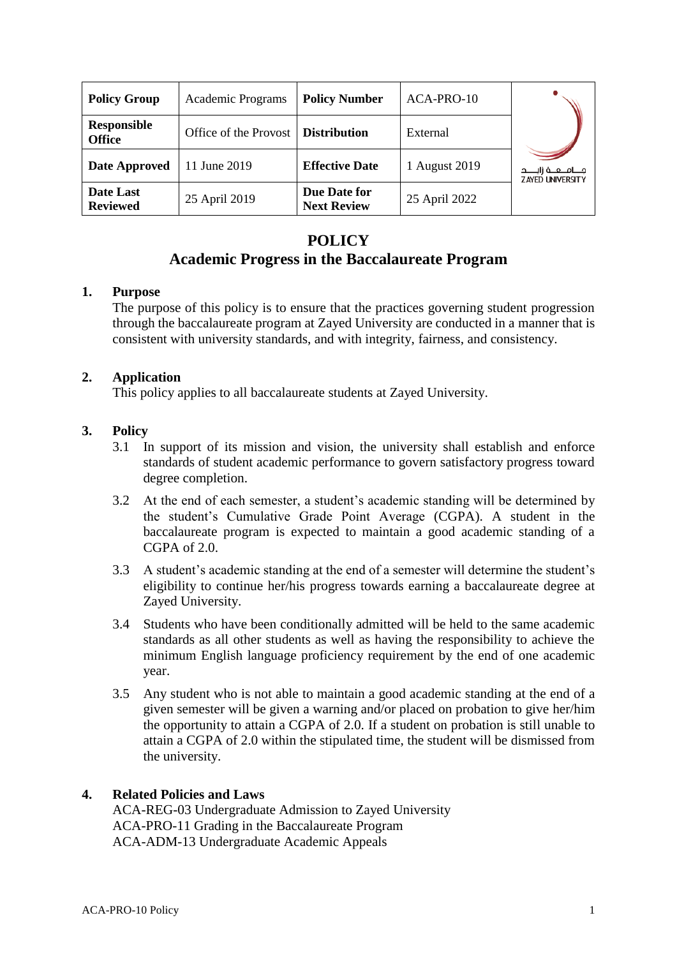| <b>Policy Group</b>                 | Academic Programs     | <b>Policy Number</b>               | ACA-PRO-10    |                                                      |
|-------------------------------------|-----------------------|------------------------------------|---------------|------------------------------------------------------|
| <b>Responsible</b><br><b>Office</b> | Office of the Provost | <b>Distribution</b>                | External      |                                                      |
| Date Approved                       | 11 June 2019          | <b>Effective Date</b>              | 1 August 2019 | جــــامـــعـــة زايـــــد<br><b>ZAYED UNIVERSITY</b> |
| Date Last<br><b>Reviewed</b>        | 25 April 2019         | Due Date for<br><b>Next Review</b> | 25 April 2022 |                                                      |

### **POLICY**

## **Academic Progress in the Baccalaureate Program**

#### **1. Purpose**

The purpose of this policy is to ensure that the practices governing student progression through the baccalaureate program at Zayed University are conducted in a manner that is consistent with university standards, and with integrity, fairness, and consistency.

### **2. Application**

This policy applies to all baccalaureate students at Zayed University.

### **3. Policy**

- 3.1 In support of its mission and vision, the university shall establish and enforce standards of student academic performance to govern satisfactory progress toward degree completion.
- 3.2 At the end of each semester, a student's academic standing will be determined by the student's Cumulative Grade Point Average (CGPA). A student in the baccalaureate program is expected to maintain a good academic standing of a CGPA of 2.0.
- 3.3 A student's academic standing at the end of a semester will determine the student's eligibility to continue her/his progress towards earning a baccalaureate degree at Zayed University.
- 3.4 Students who have been conditionally admitted will be held to the same academic standards as all other students as well as having the responsibility to achieve the minimum English language proficiency requirement by the end of one academic year.
- 3.5 Any student who is not able to maintain a good academic standing at the end of a given semester will be given a warning and/or placed on probation to give her/him the opportunity to attain a CGPA of 2.0. If a student on probation is still unable to attain a CGPA of 2.0 within the stipulated time, the student will be dismissed from the university.

#### **4. Related Policies and Laws**

ACA-REG-03 Undergraduate Admission to Zayed University ACA-PRO-11 Grading in the Baccalaureate Program ACA-ADM-13 Undergraduate Academic Appeals